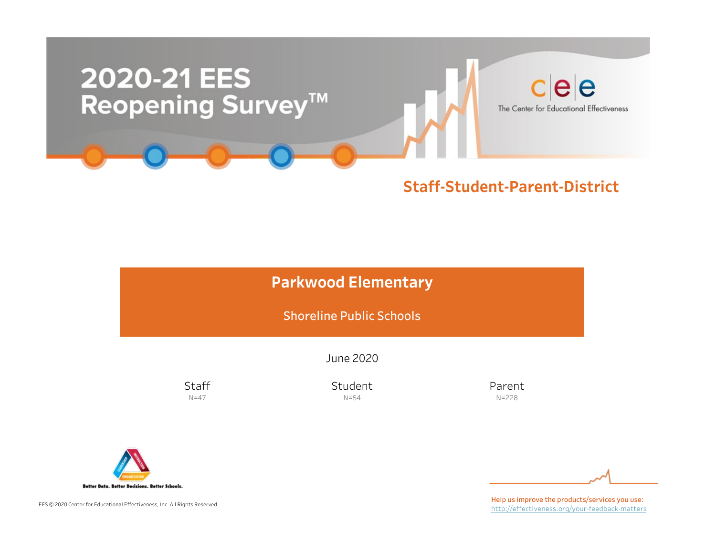

## Staff-Student-Parent-District

# Parkwood Elementary

Shoreline Public Schools

June2020

**Staff**  $N=47$ 

Student N=54

Parent N=228



EES © 2020 Center for Educational Effectiveness, Inc. All Rights Reserved.

Help us improve the products/services you use: http://effectiveness.org/your-feedback-matters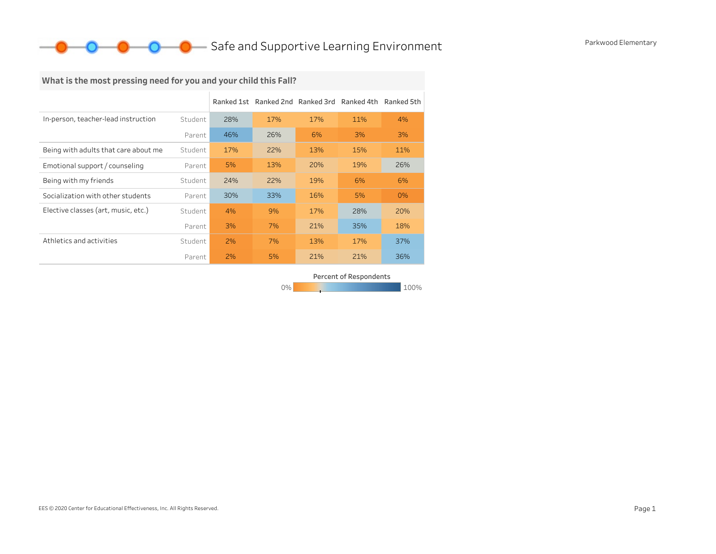## **O** Safe and Supportive Learning Environment Parkwood Elementary

## What is the most pressing need for you and your child this Fall?

|                                      |         |     | Ranked 1st Ranked 2nd Ranked 3rd |     | Ranked 4th | Ranked 5th |
|--------------------------------------|---------|-----|----------------------------------|-----|------------|------------|
| In-person, teacher-lead instruction  | Student | 28% | 17%                              | 17% | 11%        | 4%         |
|                                      | Parent  | 46% | 26%                              | 6%  | 3%         | 3%         |
| Being with adults that care about me | Student | 17% | 22%                              | 13% | 15%        | 11%        |
| Emotional support / counseling       | Parent  | 5%  | 13%                              | 20% | 19%        | 26%        |
| Being with my friends                | Student | 24% | 22%                              | 19% | 6%         | 6%         |
| Socialization with other students    | Parent  | 30% | 33%                              | 16% | 5%         | 0%         |
| Elective classes (art, music, etc.)  | Student | 4%  | 9%                               | 17% | 28%        | 20%        |
|                                      | Parent  | 3%  | 7%                               | 21% | 35%        | 18%        |
| Athletics and activities             | Student | 2%  | 7%                               | 13% | 17%        | 37%        |
|                                      | Parent  | 2%  | 5%                               | 21% | 21%        | 36%        |

0% 100% 100% 100% 100% Percent of Respondents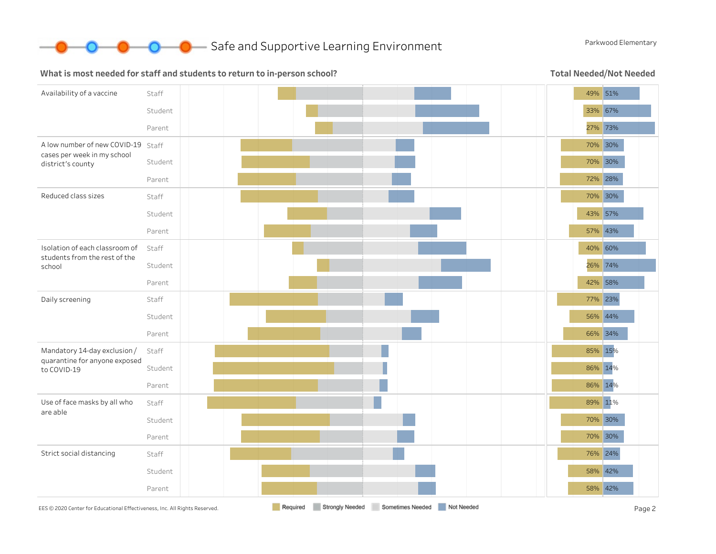

**O** Bafe and Supportive Learning Environment Parkwood Elementary

#### What is most needed for staff and students to return to in-person school?

Total Needed/Not Needed

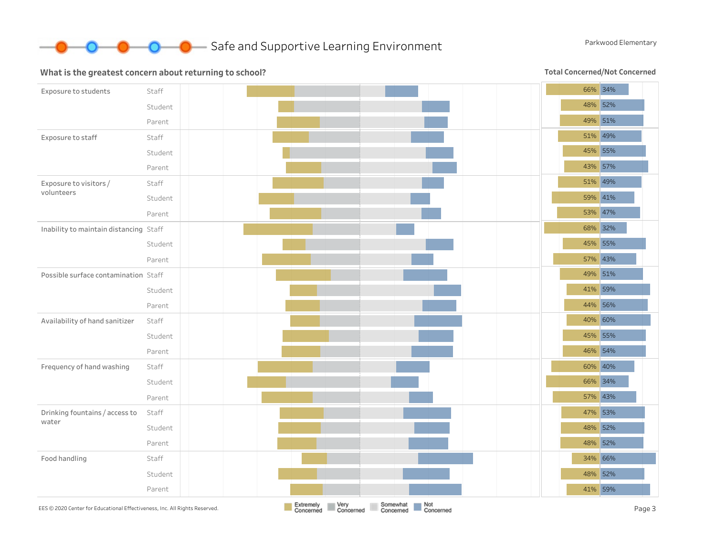

#### What is the greatest concern about returning to school?

Total Concerned/Not Concerned

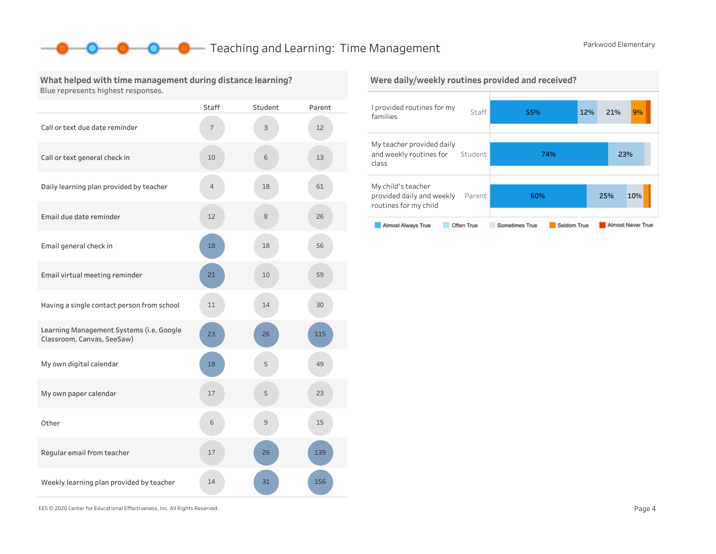## **O** Teaching and Learning: Time Management Parkwood Elementary

### What helped with time management during distance learning? Blue represents highest responses.

|                                                                        | <b>Staff</b> | Student | Parent |
|------------------------------------------------------------------------|--------------|---------|--------|
| Call or text due date reminder                                         | 7            | 3       | 12     |
| Call or text general check in                                          | 10           | 6       | 13     |
| Daily learning plan provided by teacher                                | 4            | 18      | 61     |
| Email due date reminder                                                | 12           | 8       | 26     |
| Email general check in                                                 | 18           | 18      | 56     |
| Email virtual meeting reminder                                         | 21           | 10      | 59     |
| Having a single contact person from school                             | 11           | 14      | 30     |
| Learning Management Systems (i.e. Google<br>Classroom, Canvas, SeeSaw) | 23           | 26      | 115    |
| My own digital calendar                                                | 18           | 5       | 49     |
| My own paper calendar                                                  | 17           | 5       | 23     |
| Other                                                                  | 6            | 9       | 15     |
| Regular email from teacher                                             | 17           | 26      | 139    |
| Weekly learning plan provided by teacher                               | 14           | 31      | 156    |



EES©2020CenterforEducationalEffectiveness,Inc.AllRightsReserved. Page4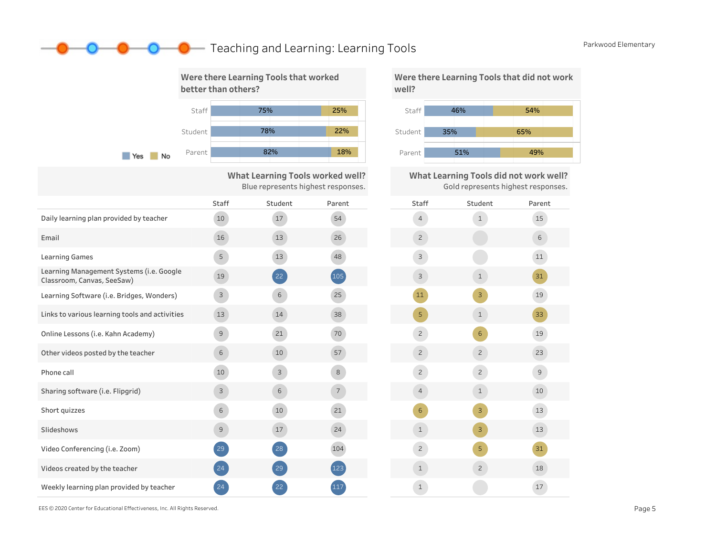## **O** Teaching and Learning: Learning Tools **Parkwood Elementary**



What Learning Tools worked well? Blue represents highest responses.

|                                                                        | <b>Staff</b>   | Student | Parent      | S |
|------------------------------------------------------------------------|----------------|---------|-------------|---|
| Daily learning plan provided by teacher                                | 10             | 17      | 54          |   |
| Email                                                                  | 16             | 13      | 26          |   |
| <b>Learning Games</b>                                                  | 5              | 13      | 48          |   |
| Learning Management Systems (i.e. Google<br>Classroom, Canvas, SeeSaw) | 19             | 22      | (105)       |   |
| Learning Software (i.e. Bridges, Wonders)                              | 3              | 6       | 25          |   |
| Links to various learning tools and activities                         | 13             | 14      | 38          |   |
| Online Lessons (i.e. Kahn Academy)                                     | $\overline{9}$ | 21      | 70          |   |
| Other videos posted by the teacher                                     | 6              | 10      | 57          |   |
| Phone call                                                             | 10             | 3       | 8           |   |
| Sharing software (i.e. Flipgrid)                                       | 3              | 6       | $7^{\circ}$ |   |
| Short quizzes                                                          | 6              | 10      | 21          |   |
| Slideshows                                                             | $\overline{9}$ | 17      | 24          |   |
| Video Conferencing (i.e. Zoom)                                         | 29             | 28      | 104         |   |
| Videos created by the teacher                                          | 24             | 29      | 123         |   |
| Weekly learning plan provided by teacher                               | 24             | 22      | 117         |   |





What Learning Tools did not work well? Gold represents highest responses.



EES©2020CenterforEducationalEffectiveness,Inc.AllRightsReserved. Page5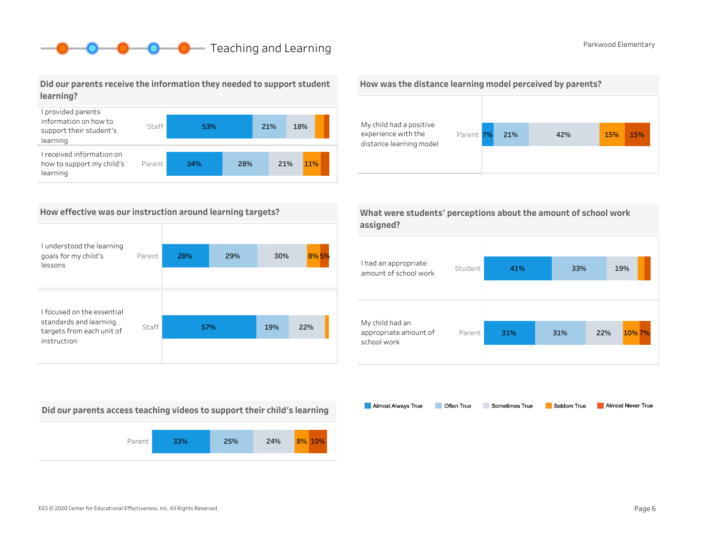# **O** Parkwood Elementary Parkwood Elementary

Did our parents receive the information they needed to support student learning?



### How effective was our instruction around learning targets?

| I understood the learning                           |        |     |     |     |      |
|-----------------------------------------------------|--------|-----|-----|-----|------|
| goals for my child's<br>lessons                     | Parent | 28% | 29% | 30% | 8%5% |
|                                                     |        |     |     |     |      |
| I focused on the essential                          |        |     |     |     |      |
| standards and learning<br>targets from each unit of | Staff  | 57% |     | 19% | 22%  |
| instruction                                         |        |     |     |     |      |

Did our parents access teaching videos to support their child's learning







|           | What were students' perceptions about the amount of school work |
|-----------|-----------------------------------------------------------------|
| assigned? |                                                                 |

| I had an appropriate<br>amount of school work           | Student | 41% | 33% |     | 19%    |
|---------------------------------------------------------|---------|-----|-----|-----|--------|
| My child had an<br>appropriate amount of<br>school work | Parent  | 31% | 31% | 22% | 10% 7% |

Almost Always True Sometimes True Almost Never True Often True Seldom True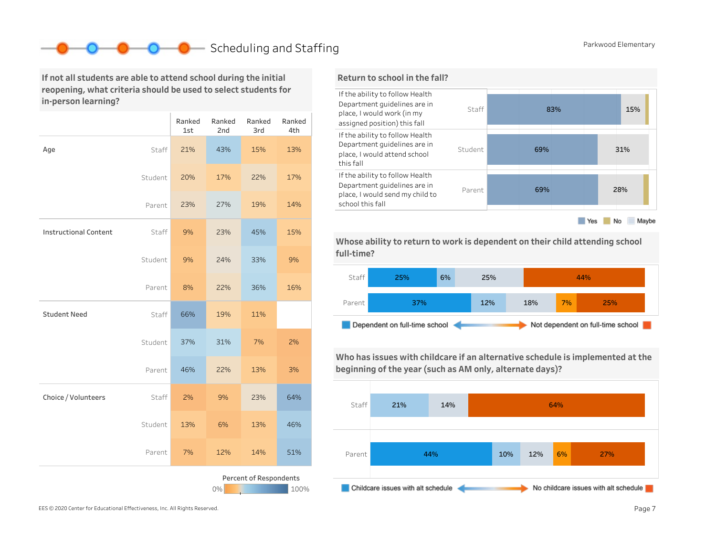# Scheduling and Staffing **Parkwood Elementary**

If not all students are able to attend school during the initial reopening, what criteria should be used to select students for in-person learning?

|                                         |         | Ranked<br>1st | Ranked<br>2nd | Ranked<br>3rd | Ranked<br>4th |  |  |  |
|-----------------------------------------|---------|---------------|---------------|---------------|---------------|--|--|--|
| Age                                     | Staff   | 21%           | 43%           | 15%           | 13%           |  |  |  |
|                                         | Student | 20%           | 17%           | 22%           | 17%           |  |  |  |
|                                         | Parent  | 23%           | 27%           | 19%           | 14%           |  |  |  |
| <b>Instructional Content</b>            | Staff   | 9%            | 23%           | 45%           | 15%           |  |  |  |
|                                         | Student | 9%            | 24%           | 33%           | 9%            |  |  |  |
|                                         | Parent  | 8%            | 22%           | 36%           | 16%           |  |  |  |
| <b>Student Need</b>                     | Staff   | 66%           | 19%           | 11%           |               |  |  |  |
|                                         | Student | 37%           | 31%           | 7%            | 2%            |  |  |  |
|                                         | Parent  | 46%           | 22%           | 13%           | 3%            |  |  |  |
| Choice / Volunteers                     | Staff   | 2%            | 9%            | 23%           | 64%           |  |  |  |
|                                         | Student | 13%           | 6%            | 13%           | 46%           |  |  |  |
|                                         | Parent  | 7%            | 12%           | 14%           | 51%           |  |  |  |
| Percent of Respondents<br>$0\%$<br>100% |         |               |               |               |               |  |  |  |



Whose ability to return to work is dependent on their child attending school full-time?



Who has issues with childcare if an alternative schedule is implemented at the beginning of the year (such as AM only, alternate days)?

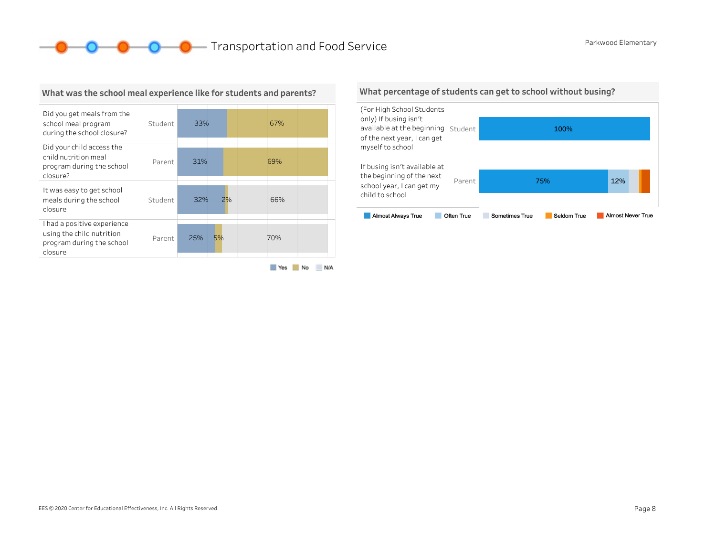**O O O** Transportation and Food Service **Parkwood Elementary** 



What was the school meal experience like for students and parents?

#### Yes No N/A

#### What percentage of students can get to school without busing?

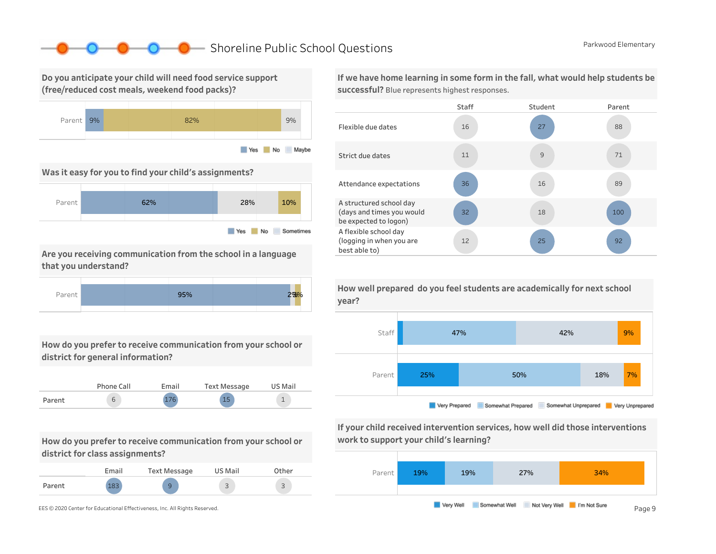### ■ Shoreline Public School Questions Parkwood Elementary

Do you anticipate your child will need food service support (free/reduced cost meals, weekend food packs)?



Was it easy for you to find your child's assignments?



Are you receiving communication from the school in a language that you understand?



How do you prefer to receive communication from your school or district for general information?



How do you prefer to receive communication from your school or district for class assignments?

|        | Email | Text Message | US Mail                       | Other                         |
|--------|-------|--------------|-------------------------------|-------------------------------|
| Parent | റി    | 9            | $\overline{\phantom{0}}$<br>ت | $\overline{\phantom{0}}$<br>ت |

If we have home learning in some form in the fall, what would help students be successful? Blue represents highest responses.





If your child received intervention services, how well did those interventions work to support your child's learning?



How well prepared do you feel students are academically for next school year?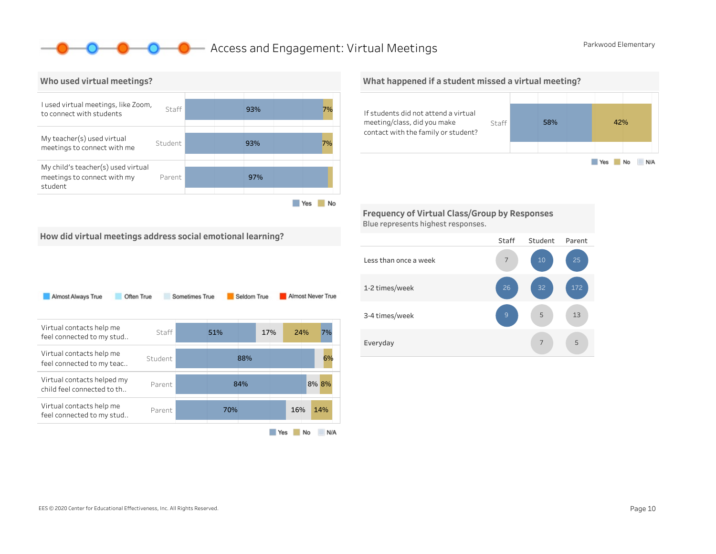### **O** Access and Engagement: Virtual Meetings **Parkwood Elementary**



What happened if a student missed a virtual meeting?



Frequency of Virtual Class/Group by Responses Blue represents highest responses.



| Almost Always True<br>Often True                          |         | Sometimes True |     | Seldom True |     |     |    | Almost Never True |
|-----------------------------------------------------------|---------|----------------|-----|-------------|-----|-----|----|-------------------|
| Virtual contacts help me<br>feel connected to my stud     | Staff   |                | 51% |             | 17% | 24% |    | 7%                |
| Virtual contacts help me<br>feel connected to my teac     | Student |                |     | 88%         |     |     |    | 6%                |
| Virtual contacts helped my<br>child feel connected to th. | Parent  |                |     | 84%         |     |     |    | 8% 8%             |
| Virtual contacts help me<br>feel connected to my stud     | Parent  |                | 70% |             |     | 16% |    | 14%               |
|                                                           |         |                |     |             | Yes |     | No | N/A               |

### Staff Student Parent Lessthanonceaweek 1-2times/week 3-4 times/week Everyday 5 13 7 5 9 7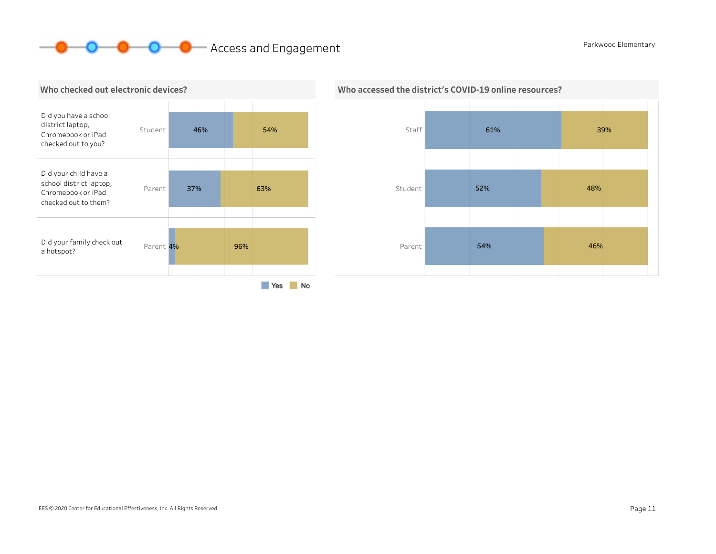# **O O** Access and Engagement **Parkwood Elementary**





### Who accessed the district's COVID-19 online resources?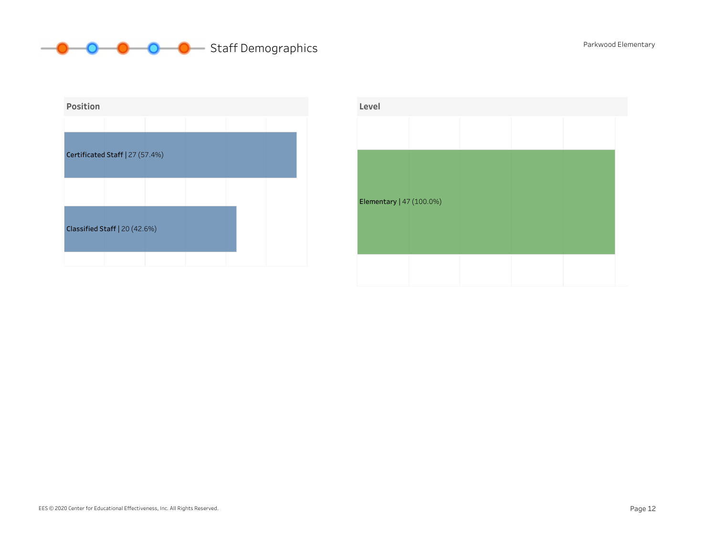# **Staff Demographics** Parkwood Elementary



| Level                    |  |  |  |
|--------------------------|--|--|--|
|                          |  |  |  |
|                          |  |  |  |
|                          |  |  |  |
| Elementary   47 (100.0%) |  |  |  |
|                          |  |  |  |
|                          |  |  |  |
|                          |  |  |  |
|                          |  |  |  |

#### EES © 2020 Center for Educational Effectiveness, Inc. All Rights Reserved. Page 12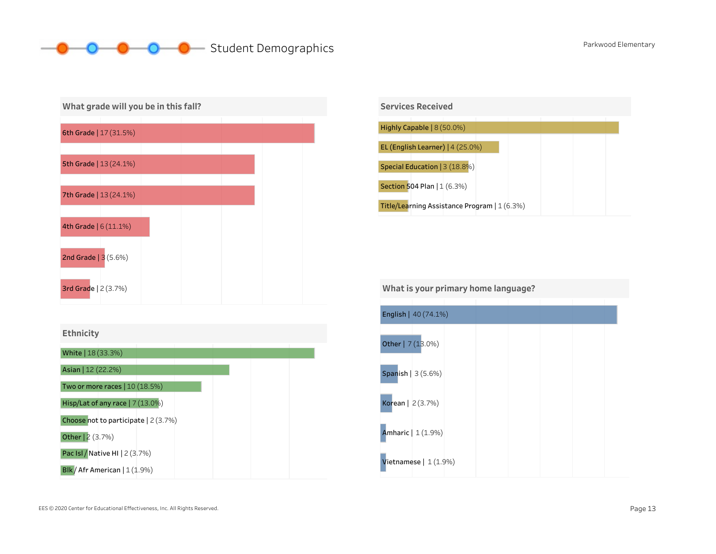# **O** Student Demographics **Parkwood Elementary**





What is your primary home language?

| English   40 (74.1%)  |  |  |  |
|-----------------------|--|--|--|
| Other   7 (13.0%)     |  |  |  |
| Spanish $ 3(5.6%)$    |  |  |  |
| Korean   2(3.7%)      |  |  |  |
| Amharic   1 (1.9%)    |  |  |  |
| Vietnamese $ 1(1.9%)$ |  |  |  |

Blk / Afr American | 1 (1.9%) Pac Isl / Native HI | 2 (3.7%)